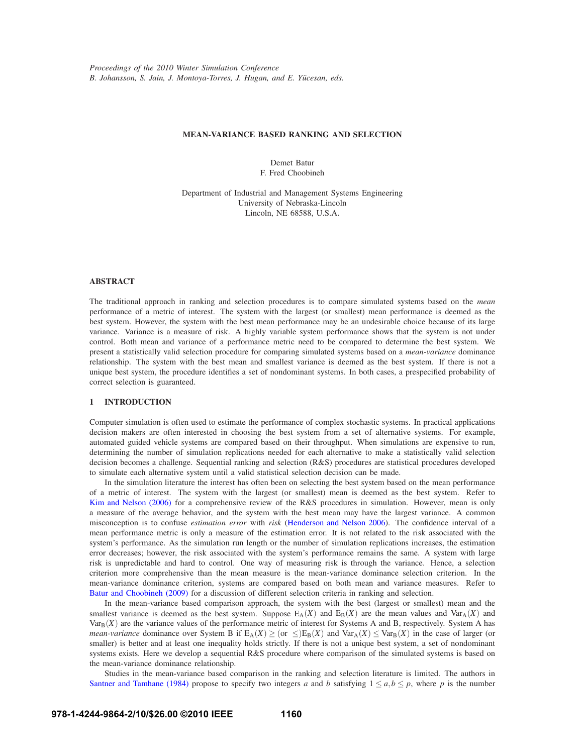## **MEAN-VARIANCE BASED RANKING AND SELECTION**

Demet Batur F. Fred Choobineh

Department of Industrial and Management Systems Engineering University of Nebraska-Lincoln Lincoln, NE 68588, U.S.A.

# **ABSTRACT**

The traditional approach in ranking and selection procedures is to compare simulated systems based on the *mean* performance of a metric of interest. The system with the largest (or smallest) mean performance is deemed as the best system. However, the system with the best mean performance may be an undesirable choice because of its large variance. Variance is a measure of risk. A highly variable system performance shows that the system is not under control. Both mean and variance of a performance metric need to be compared to determine the best system. We present a statistically valid selection procedure for comparing simulated systems based on a *mean-variance* dominance relationship. The system with the best mean and smallest variance is deemed as the best system. If there is not a unique best system, the procedure identifies a set of nondominant systems. In both cases, a prespecified probability of correct selection is guaranteed.

## **1 INTRODUCTION**

Computer simulation is often used to estimate the performance of complex stochastic systems. In practical applications decision makers are often interested in choosing the best system from a set of alternative systems. For example, automated guided vehicle systems are compared based on their throughput. When simulations are expensive to run, determining the number of simulation replications needed for each alternative to make a statistically valid selection decision becomes a challenge. Sequential ranking and selection (R&S) procedures are statistical procedures developed to simulate each alternative system until a valid statistical selection decision can be made.

In the simulation literature the interest has often been on selecting the best system based on the mean performance of a metric of interest. The system with the largest (or smallest) mean is deemed as the best system. Refer to Kim and Nelson (2006) for a comprehensive review of the R&S procedures in simulation. However, mean is only a measure of the average behavior, and the system with the best mean may have the largest variance. A common misconception is to confuse *estimation error* with *risk* (Henderson and Nelson 2006). The confidence interval of a mean performance metric is only a measure of the estimation error. It is not related to the risk associated with the system's performance. As the simulation run length or the number of simulation replications increases, the estimation error decreases; however, the risk associated with the system's performance remains the same. A system with large risk is unpredictable and hard to control. One way of measuring risk is through the variance. Hence, a selection criterion more comprehensive than the mean measure is the mean-variance dominance selection criterion. In the mean-variance dominance criterion, systems are compared based on both mean and variance measures. Refer to Batur and Choobineh (2009) for a discussion of different selection criteria in ranking and selection.

In the mean-variance based comparison approach, the system with the best (largest or smallest) mean and the smallest variance is deemed as the best system. Suppose  $E_A(X)$  and  $E_B(X)$  are the mean values and Var $_A(X)$  and  $Var_B(X)$  are the variance values of the performance metric of interest for Systems A and B, respectively. System A has *mean-variance* dominance over System B if  $E_A(X) \geq (or \leq)E_B(X)$  and  $Var_A(X) \leq Var_B(X)$  in the case of larger (or smaller) is better and at least one inequality holds strictly. If there is not a unique best system, a set of nondominant systems exists. Here we develop a sequential R&S procedure where comparison of the simulated systems is based on the mean-variance dominance relationship.

Studies in the mean-variance based comparison in the ranking and selection literature is limited. The authors in Santner and Tamhane (1984) propose to specify two integers *a* and *b* satisfying  $1 \le a, b \le p$ , where *p* is the number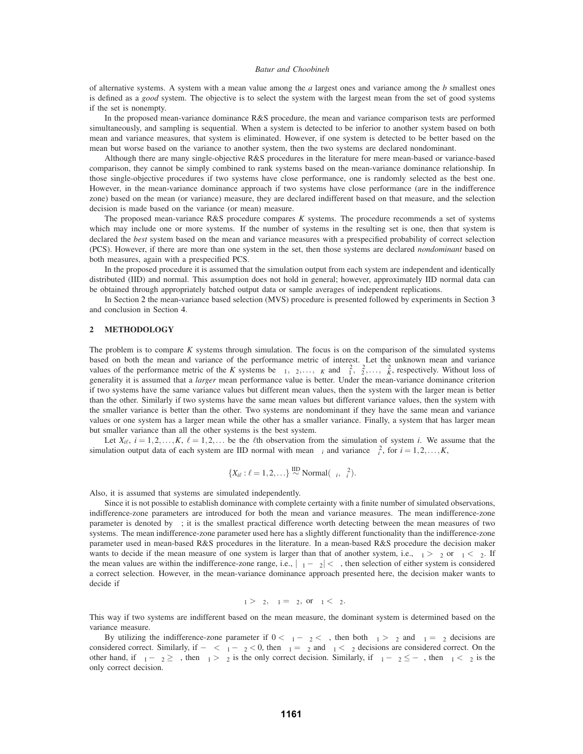of alternative systems. A system with a mean value among the *a* largest ones and variance among the *b* smallest ones is defined as a *good* system. The objective is to select the system with the largest mean from the set of good systems if the set is nonempty.

In the proposed mean-variance dominance R&S procedure, the mean and variance comparison tests are performed simultaneously, and sampling is sequential. When a system is detected to be inferior to another system based on both mean and variance measures, that system is eliminated. However, if one system is detected to be better based on the mean but worse based on the variance to another system, then the two systems are declared nondominant.

Although there are many single-objective R&S procedures in the literature for mere mean-based or variance-based comparison, they cannot be simply combined to rank systems based on the mean-variance dominance relationship. In those single-objective procedures if two systems have close performance, one is randomly selected as the best one. However, in the mean-variance dominance approach if two systems have close performance (are in the indifference zone) based on the mean (or variance) measure, they are declared indifferent based on that measure, and the selection decision is made based on the variance (or mean) measure.

The proposed mean-variance R&S procedure compares *K* systems. The procedure recommends a set of systems which may include one or more systems. If the number of systems in the resulting set is one, then that system is declared the *best* system based on the mean and variance measures with a prespecified probability of correct selection (PCS). However, if there are more than one system in the set, then those systems are declared *nondominant* based on both measures, again with a prespecified PCS.

In the proposed procedure it is assumed that the simulation output from each system are independent and identically distributed (IID) and normal. This assumption does not hold in general; however, approximately IID normal data can be obtained through appropriately batched output data or sample averages of independent replications.

In Section 2 the mean-variance based selection (MVS) procedure is presented followed by experiments in Section 3 and conclusion in Section 4.

## **2 METHODOLOGY**

The problem is to compare  $K$  systems through simulation. The focus is on the comparison of the simulated systems based on both the mean and variance of the performance metric of interest. Let the unknown mean and variance values of the performance metric of the *K* systems be  $\mu_1, \mu_2, \ldots, \mu_K$  and  $\sigma_1^2, \sigma_2^2, \ldots, \sigma_K^2$ , respectively. Without loss of generality it is assumed that a *larger* mean performance value is better. Under the mean-variance dominance criterion if two systems have the same variance values but different mean values, then the system with the larger mean is better than the other. Similarly if two systems have the same mean values but different variance values, then the system with the smaller variance is better than the other. Two systems are nondominant if they have the same mean and variance values or one system has a larger mean while the other has a smaller variance. Finally, a system that has larger mean but smaller variance than all the other systems is the best system.

Let  $X_{i\ell}$ ,  $i = 1, 2, \ldots, K$ ,  $\ell = 1, 2, \ldots$  be the  $\ell$ th observation from the simulation of system *i*. We assume that the simulation output data of each system are IID normal with mean  $\mu_i$  and variance  $\sigma_i^2$ , for  $i = 1, 2, ..., K$ ,

$$
\{X_{i\ell}:\ell=1,2,\ldots\}\stackrel{\text{IID}}{\sim} \text{Normal}(\mu_i,\sigma_i^2).
$$

Also, it is assumed that systems are simulated independently.

Since it is not possible to establish dominance with complete certainty with a finite number of simulated observations, indifference-zone parameters are introduced for both the mean and variance measures. The mean indifference-zone parameter is denoted by  $\delta$ ; it is the smallest practical difference worth detecting between the mean measures of two systems. The mean indifference-zone parameter used here has a slightly different functionality than the indifference-zone parameter used in mean-based R&S procedures in the literature. In a mean-based R&S procedure the decision maker wants to decide if the mean measure of one system is larger than that of another system, i.e.,  $\mu_1 > \mu_2$  or  $\mu_1 < \mu_2$ . If the mean values are within the indifference-zone range, i.e.,  $|\mu_1 - \mu_2| < \delta$ , then selection of either system is considered a correct selection. However, in the mean-variance dominance approach presented here, the decision maker wants to decide if

$$
\mu_1 > \mu_2
$$
,  $\mu_1 = \mu_2$ , or  $\mu_1 < \mu_2$ .

This way if two systems are indifferent based on the mean measure, the dominant system is determined based on the variance measure.

By utilizing the indifference-zone parameter if  $0 < \mu_1 - \mu_2 < \delta$ , then both  $\mu_1 > \mu_2$  and  $\mu_1 = \mu_2$  decisions are considered correct. Similarly, if  $-\delta < \mu_1 - \mu_2 < 0$ , then  $\mu_1 = \mu_2$  and  $\mu_1 < \mu_2$  decisions are considered correct. On the other hand, if  $\mu_1 - \mu_2 \ge \delta$ , then  $\mu_1 > \mu_2$  is the only correct decision. Similarly, if  $\mu_1 - \mu_2 \le -\delta$ , then  $\mu_1 < \mu_2$  is the only correct decision.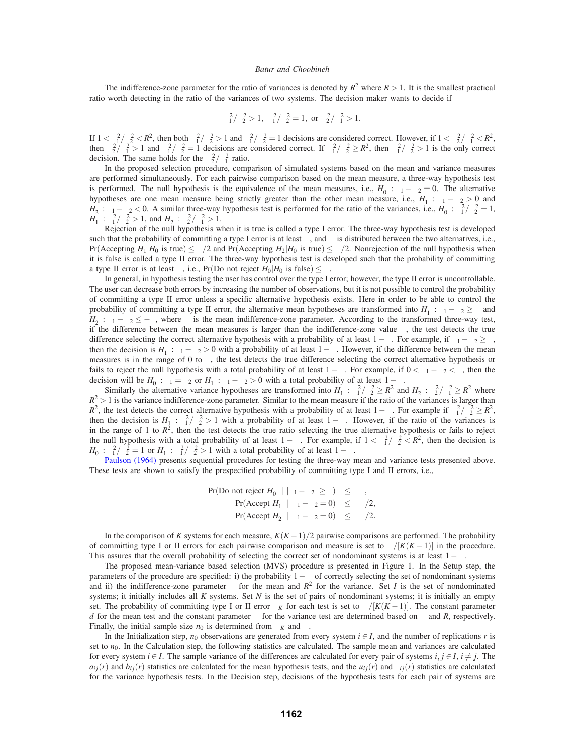The indifference-zone parameter for the ratio of variances is denoted by  $R^2$  where  $R > 1$ . It is the smallest practical ratio worth detecting in the ratio of the variances of two systems. The decision maker wants to decide if

$$
\sigma_1^2/\sigma_2^2 > 1
$$
,  $\sigma_1^2/\sigma_2^2 = 1$ , or  $\sigma_2^2/\sigma_1^2 > 1$ .

If  $1 < \sigma_1^2/\sigma_2^2 < R^2$ , then both  $\sigma_1^2/\sigma_2^2 > 1$  and  $\sigma_1^2/\sigma_2^2 = 1$  decisions are considered correct. However, if  $1 < \sigma_2^2/\sigma_1^2 < R^2$ , then  $\sigma_2^2/\sigma_1^2 > 1$  and  $\sigma_1^2/\sigma_2^2 = 1$  decisions are considered correct. If  $\sigma_1^2/\sigma_2^2 \ge R^2$ , then  $\sigma_1^2/\sigma_2^2 > 1$  is the only correct decision. The same holds for the  $\sigma_2^2/\sigma_1^2$  ratio.

In the proposed selection procedure, comparison of simulated systems based on the mean and variance measures are performed simultaneously. For each pairwise comparison based on the mean measure, a three-way hypothesis test is performed. The null hypothesis is the equivalence of the mean measures, i.e.,  $H_0^{\mu}$ :  $\mu_1 - \mu_2 = 0$ . The alternative hypotheses are one mean measure being strictly greater than the other mean measure, i.e.,  $H_1^{\mu}$ :  $\mu_1 - \mu_2 > 0$  and  $H_2^{\mu}$ :  $\mu_1 - \mu_2 < 0$ . A similar three-way hypothesis test is performed for the ratio of the variances, i.e.,  $H_0^{\sigma}$ :  $\sigma_1^2/\sigma_2^2 = 1$ ,  $H_1^{\sigma}$ :  $\sigma_1^2/\sigma_2^2 > 1$ , and  $H_2^{\sigma}$ :  $\sigma_2^2/\sigma_1^2 > 1$ .

Rejection of the null hypothesis when it is true is called a type I error. The three-way hypothesis test is developed such that the probability of committing a type I error is at least  $\alpha$ , and  $\alpha$  is distributed between the two alternatives, i.e., Pr(Accepting  $H_1|H_0$  is true)  $\leq \alpha/2$  and Pr(Accepting  $H_2|H_0$  is true)  $\leq \alpha/2$ . Nonrejection of the null hypothesis when it is false is called a type II error. The three-way hypothesis test is developed such that the probability of committing a type II error is at least  $\beta$ , i.e., Pr(Do not reject  $H_0|H_0$  is false)  $\leq \beta$ .

In general, in hypothesis testing the user has control over the type I error; however, the type II error is uncontrollable. The user can decrease both errors by increasing the number of observations, but it is not possible to control the probability of committing a type II error unless a specific alternative hypothesis exists. Here in order to be able to control the probability of committing a type II error, the alternative mean hypotheses are transformed into  $H_1^{\mu}$ :  $\mu_1 - \mu_2 \ge \delta$  and  $H_2^{\mu}$ :  $\mu_1 - \mu_2 \leq -\delta$ , where  $\delta$  is the mean indifference-zone parameter. According to the transformed three-way test, if the difference between the mean measures is larger than the indifference-zone value  $\delta$ , the test detects the true difference selecting the correct alternative hypothesis with a probability of at least  $1-\beta$ . For example, if  $\mu_1 - \mu_2 \ge \delta$ , then the decision is  $H_1^{\mu}$ :  $\mu_1 - \mu_2 > 0$  with a probability of at least  $1 - \beta$ . However, if the difference between the mean measures is in the range of 0 to  $\delta$ , the test detects the true difference selecting the correct alternative hypothesis or fails to reject the null hypothesis with a total probability of at least  $1-\alpha$ . For example, if  $0 < \mu_1 - \mu_2 < \delta$ , then the decision will be  $H_0^{\mu}$ :  $\mu_1 = \mu_2$  or  $H_1^{\mu}$ :  $\mu_1 - \mu_2 > 0$  with a total probability of at least  $1 - \alpha$ .

Similarly the alternative variance hypotheses are transformed into  $H_1^{\sigma}$  :  $\sigma_1^2/\sigma_2^2 \ge R^2$  and  $H_2^{\sigma}$  :  $\sigma_2^2/\sigma_1^2 \ge R^2$  where  $R^2 > 1$  is the variance indifference-zone parameter. Similar to the mean measure if the ratio of the variances is larger than  $R^2$ , the test detects the correct alternative hypothesis with a probability of at least  $1 - \beta$ . For example if  $\sigma_1^2 / \sigma_2^2 \geq R^2$ , then the decision is  $H_1^{\sigma}$ :  $\sigma_1^2/\sigma_2^2 > 1$  with a probability of at least  $1 - \beta$ . However, if the ratio of the variances is in the range of 1 to  $R^2$ , then the test detects the true ratio selecting the true alternative hypothesis or fails to reject the null hypothesis with a total probability of at least  $1 - \alpha$ . For example, if  $1 < \sigma_1^2/\sigma_2^2 < R^2$ , then the decision is  $H_0^{\sigma}$ :  $\sigma_1^2/\sigma_2^2 = 1$  or  $H_1^{\sigma}$ :  $\sigma_1^2/\sigma_2^2 > 1$  with a total probability of at least  $1 - \alpha$ .

Paulson (1964) presents sequential procedures for testing the three-way mean and variance tests presented above. These tests are shown to satisfy the prespecified probability of committing type I and II errors, i.e.,

$$
\Pr(\text{Do not reject } H_0^{\mu} \mid |\mu_1 - \mu_2| \ge \delta) \le \beta,
$$
\n
$$
\Pr(\text{Accept } H_1^{\mu} \mid \mu_1 - \mu_2 = 0) \le \alpha/2,
$$
\n
$$
\Pr(\text{Accept } H_2^{\mu} \mid \mu_1 - \mu_2 = 0) \le \alpha/2.
$$

In the comparison of *K* systems for each measure,  $K(K-1)/2$  pairwise comparisons are performed. The probability of committing type I or II errors for each pairwise comparison and measure is set to  $\alpha/[K(K-1)]$  in the procedure. This assures that the overall probability of selecting the correct set of nondominant systems is at least  $1-\alpha$ .

The proposed mean-variance based selection (MVS) procedure is presented in Figure 1. In the Setup step, the parameters of the procedure are specified: i) the probability  $1-\alpha$  of correctly selecting the set of nondominant systems and ii) the indifference-zone parameter  $\delta$  for the mean and  $R^2$  for the variance. Set *I* is the set of nondominated systems; it initially includes all  $K$  systems. Set  $N$  is the set of pairs of nondominant systems; it is initially an empty set. The probability of committing type I or II error  $\alpha_K$  for each test is set to  $\alpha/[K(K-1)]$ . The constant parameter *d* for the mean test and the constant parameter  $\lambda$  for the variance test are determined based on  $\delta$  and *R*, respectively. Finally, the initial sample size  $n_0$  is determined from  $\alpha_K$  and  $\lambda$ .

In the Initialization step,  $n_0$  observations are generated from every system  $i \in I$ , and the number of replications *r* is set to  $n_0$ . In the Calculation step, the following statistics are calculated. The sample mean and variances are calculated for every system *i* ∈ *I*. The sample variance of the differences are calculated for every pair of systems *i*, *j* ∈ *I*, *i*  $\neq$  *j*. The  $a_{ij}(r)$  and  $b_{ij}(r)$  statistics are calculated for the mean hypothesis tests, and the  $u_{ij}(r)$  and  $v_{ij}(r)$  statistics are calculated for the variance hypothesis tests. In the Decision step, decisions of the hypothesis tests for each pair of systems are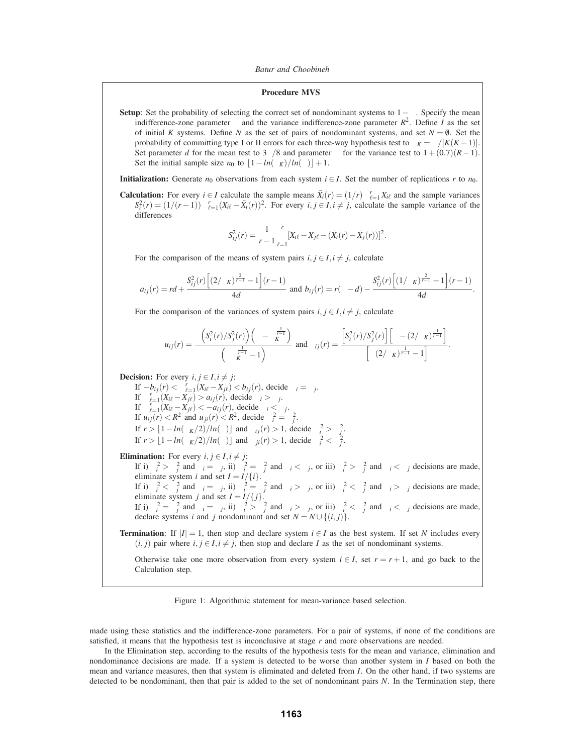#### **Procedure MVS**

**Setup**: Set the probability of selecting the correct set of nondominant systems to  $1-\alpha$ . Specify the mean indifference-zone parameter  $\delta$  and the variance indifference-zone parameter  $R^2$ . Define *I* as the set of initial *K* systems. Define *N* as the set of pairs of nondominant systems, and set  $N = \emptyset$ . Set the probability of committing type I or II errors for each three-way hypothesis test to  $\alpha_K = \alpha/[K(K-1)]$ . Set parameter *d* for the mean test to 3 $\delta$ /8 and parameter  $\lambda$  for the variance test to 1+(0.7)(*R*−1). Set the initial sample size  $n_0$  to  $\left[1 - \ln(\alpha_K)/\ln(\lambda)\right] + 1$ .

**Initialization:** Generate  $n_0$  observations from each system  $i \in I$ . Set the number of replications *r* to  $n_0$ .

**Calculation:** For every *i* ∈ *I* calculate the sample means  $\bar{X}_i(r) = (1/r) \sum_{\ell=1}^r X_{i\ell}$  and the sample variances  $S_i^2(r) = (1/(r-1))\sum_{\ell=1}^r (X_{i\ell} - \bar{X}_i(r))^2$ . For every  $i, j \in I, i \neq j$ , calculate the sample variance of the differences

$$
S_{ij}^{2}(r) = \frac{1}{r-1} \sum_{\ell=1}^{r} [X_{i\ell} - X_{j\ell} - (\bar{X}_i(r) - \bar{X}_j(r))]^{2}.
$$

For the comparison of the means of system pairs  $i, j \in I, i \neq j$ , calculate

$$
a_{ij}(r) = rd + \frac{S_{ij}^2(r) \left[ (2/\alpha_K)^{\frac{2}{r-1}} - 1 \right] (r-1)}{4d} \text{ and } b_{ij}(r) = r(\delta - d) - \frac{S_{ij}^2(r) \left[ (1/\alpha_K)^{\frac{2}{r-1}} - 1 \right] (r-1)}{4d}.
$$

For the comparison of the variances of system pairs  $i, j \in I, i \neq j$ , calculate

$$
u_{ij}(r) = \frac{\lambda\left(S_i^2(r)/S_j^2(r)\right)\left(\lambda - \alpha_K^{\frac{1}{p-1}}\right)}{\left(\lambda \alpha_K^{\frac{1}{p-1}} - 1\right)} \text{ and } v_{ij}(r) = \frac{\left[S_i^2(r)/S_j^2(r)\right]\left[\lambda - \left(2/\alpha_K\right)^{\frac{1}{p-1}}\right]}{\lambda\left[\lambda\left(2/\alpha_K\right)^{\frac{1}{p-1}} - 1\right]}.
$$

**Decision:** For every  $i, j \in I, i \neq j$ : If  $-b_{ij}(r) < \sum_{\ell=1}^{r} (X_{i\ell} - X_{j\ell}) < b_{ij}(r)$ , decide  $μ_i = μ_j$ . If  $\sum_{\ell=1}^r (X_{i\ell} - \overline{X}_{j\ell}) > a_{ij}(r)$ , decide  $\mu_i > \mu_j$ . If  $\sum_{\ell=1}^r (X_{i\ell} - X_{j\ell}) < -a_{ij}(r)$ , decide  $\mu_i < \mu_j$ . If  $u_{ij}(r) < R^2$  and  $u_{ji}(r) < R^2$ , decide  $\sigma_i^2 = \sigma_j^2$ . If  $r > \lfloor 1 - \ln(\alpha_K/2)/\ln(\lambda) \rfloor$  and  $v_{ij}(r) > 1$ , decide  $\sigma_i^2 > \sigma_j^2$ . If  $r > \lfloor 1 - \ln(\alpha_K/2)/\ln(\lambda) \rfloor$  and  $v_{ji}(r) > 1$ , decide  $\sigma_i^2 < \sigma_j^2$ .

**Elimination:** For every  $i, j \in I, i \neq j$ :

If i)  $\sigma_i^2 > \sigma_j^2$  and  $\mu_i = \mu_j$ , ii)  $\sigma_i^2 = \sigma_j^2$  and  $\mu_i < \mu_j$ , or iii)  $\sigma_i^2 > \sigma_j^2$  and  $\mu_i < \mu_j$  decisions are made, eliminate system *i* and set  $I = I/{i}$ . If i)  $\sigma_i^2 < \sigma_j^2$  and  $\mu_i = \mu_j$ , ii)  $\sigma_i^2 = \sigma_j^2$  and  $\mu_i > \mu_j$ , or iii)  $\sigma_i^2 < \sigma_j^2$  and  $\mu_i > \mu_j$  decisions are made, eliminate system *j* and set  $I = I/{j}$ .

If i)  $\sigma_i^2 = \sigma_j^2$  and  $\mu_i = \mu_j$ , ii)  $\sigma_i^2 > \sigma_j^2$  and  $\mu_i > \mu_j$ , or iii)  $\sigma_i^2 < \sigma_j^2$  and  $\mu_i < \mu_j$  decisions are made, declare systems *i* and *j* nondominant and set  $N = N \cup \{(i, j)\}.$ 

**Termination:** If  $|I| = 1$ , then stop and declare system  $i \in I$  as the best system. If set *N* includes every  $(i, j)$  pair where  $i, j \in I, i \neq j$ , then stop and declare *I* as the set of nondominant systems.

Otherwise take one more observation from every system  $i \in I$ , set  $r = r + 1$ , and go back to the Calculation step.

Figure 1: Algorithmic statement for mean-variance based selection.

made using these statistics and the indifference-zone parameters. For a pair of systems, if none of the conditions are satisfied, it means that the hypothesis test is inconclusive at stage *r* and more observations are needed.

In the Elimination step, according to the results of the hypothesis tests for the mean and variance, elimination and nondominance decisions are made. If a system is detected to be worse than another system in *I* based on both the mean and variance measures, then that system is eliminated and deleted from *I*. On the other hand, if two systems are detected to be nondominant, then that pair is added to the set of nondominant pairs *N*. In the Termination step, there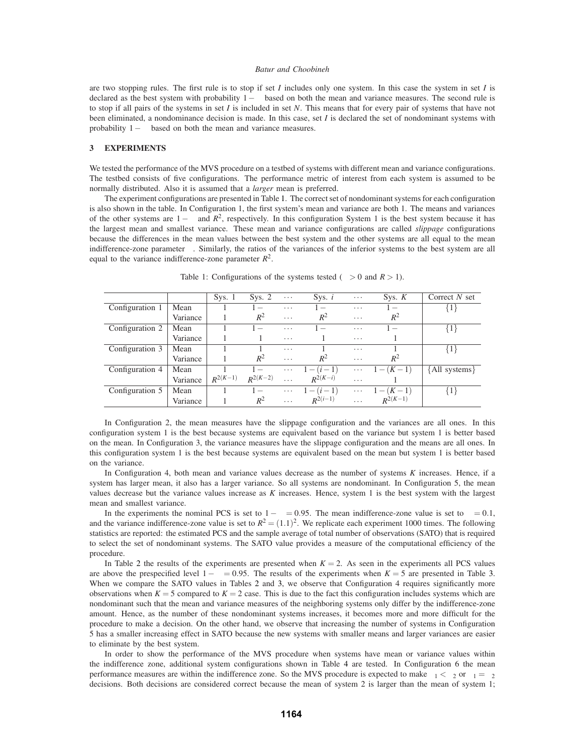are two stopping rules. The first rule is to stop if set *I* includes only one system. In this case the system in set *I* is declared as the best system with probability  $1-\alpha$  based on both the mean and variance measures. The second rule is to stop if all pairs of the systems in set *I* is included in set *N*. This means that for every pair of systems that have not been eliminated, a nondominance decision is made. In this case, set *I* is declared the set of nondominant systems with probability  $1-\alpha$  based on both the mean and variance measures.

# **3 EXPERIMENTS**

We tested the performance of the MVS procedure on a testbed of systems with different mean and variance configurations. The testbed consists of five configurations. The performance metric of interest from each system is assumed to be normally distributed. Also it is assumed that a *larger* mean is preferred.

The experiment configurations are presented in Table 1. The correct set of nondominant systems for each configuration is also shown in the table. In Configuration 1, the first system's mean and variance are both 1. The means and variances of the other systems are  $1-\delta$  and  $R^2$ , respectively. In this configuration System 1 is the best system because it has the largest mean and smallest variance. These mean and variance configurations are called *slippage* configurations because the differences in the mean values between the best system and the other systems are all equal to the mean indifference-zone parameter δ. Similarly, the ratios of the variances of the inferior systems to the best system are all equal to the variance indifference-zone parameter  $R^2$ .

|                 |          | Sys. 1       | Sys. 2       | .                               | Sys. $i$                     | $\cdots$ | Sys. $K$                       | Correct $N$ set |
|-----------------|----------|--------------|--------------|---------------------------------|------------------------------|----------|--------------------------------|-----------------|
| Configuration 1 | Mean     |              | $1-\delta$   | $\cdots$                        | $1-\delta$                   | .        | $1-\delta$                     | {1}             |
|                 | Variance |              | $R^2$        | $\cdots$                        | $R^2$                        | .        | $R^2$                          |                 |
| Configuration 2 | Mean     |              | $1-\delta$   | $\cdots$                        | $1-\delta$                   | .        | $1-\delta$                     | $ 1\rangle$     |
|                 | Variance |              |              | $\cdots$                        |                              | $\cdots$ |                                |                 |
| Configuration 3 | Mean     |              |              | .                               |                              | .        |                                | {1}             |
|                 | Variance |              | $R^2$        | .                               | $R^2$                        | .        | $R^2$                          |                 |
| Configuration 4 | Mean     |              | $1-\delta$   |                                 | $\cdots \quad 1-(i-1)\delta$ |          | $\cdots \quad 1 - (K-1)\delta$ | {All systems}   |
|                 | Variance | $R^{2(K-1)}$ | $R^{2(K-2)}$ | $\cdots$                        | $R^{2(K-i)}$                 | .        |                                |                 |
| Configuration 5 | Mean     |              | $1-\delta$   | $\mathbf{r} \cdot \mathbf{r}$ . | $1-(i-1)\delta$              |          | $\cdots \quad 1-(K-1)\delta$   | $\{1\}$         |
|                 | Variance |              | $R^2$        | $\cdots$                        | $R^{2(i-1)}$                 |          | $R^{2(K-1)}$                   |                 |

Table 1: Configurations of the systems tested ( $\delta > 0$  and  $R > 1$ ).

In Configuration 2, the mean measures have the slippage configuration and the variances are all ones. In this configuration system 1 is the best because systems are equivalent based on the variance but system 1 is better based on the mean. In Configuration 3, the variance measures have the slippage configuration and the means are all ones. In this configuration system 1 is the best because systems are equivalent based on the mean but system 1 is better based on the variance.

In Configuration 4, both mean and variance values decrease as the number of systems *K* increases. Hence, if a system has larger mean, it also has a larger variance. So all systems are nondominant. In Configuration 5, the mean values decrease but the variance values increase as *K* increases. Hence, system 1 is the best system with the largest mean and smallest variance.

In the experiments the nominal PCS is set to  $1-\alpha = 0.95$ . The mean indifference-zone value is set to  $\delta = 0.1$ , and the variance indifference-zone value is set to  $R^2 = (1.1)^2$ . We replicate each experiment 1000 times. The following statistics are reported: the estimated PCS and the sample average of total number of observations (SATO) that is required to select the set of nondominant systems. The SATO value provides a measure of the computational efficiency of the procedure.

In Table 2 the results of the experiments are presented when  $K = 2$ . As seen in the experiments all PCS values are above the prespecified level  $1 - \alpha = 0.95$ . The results of the experiments when  $K = 5$  are presented in Table 3. When we compare the SATO values in Tables 2 and 3, we observe that Configuration 4 requires significantly more observations when  $K = 5$  compared to  $K = 2$  case. This is due to the fact this configuration includes systems which are nondominant such that the mean and variance measures of the neighboring systems only differ by the indifference-zone amount. Hence, as the number of these nondominant systems increases, it becomes more and more difficult for the procedure to make a decision. On the other hand, we observe that increasing the number of systems in Configuration 5 has a smaller increasing effect in SATO because the new systems with smaller means and larger variances are easier to eliminate by the best system.

In order to show the performance of the MVS procedure when systems have mean or variance values within the indifference zone, additional system configurations shown in Table 4 are tested. In Configuration 6 the mean performance measures are within the indifference zone. So the MVS procedure is expected to make  $\mu_1 < \mu_2$  or  $\mu_1 = \mu_2$ decisions. Both decisions are considered correct because the mean of system 2 is larger than the mean of system 1;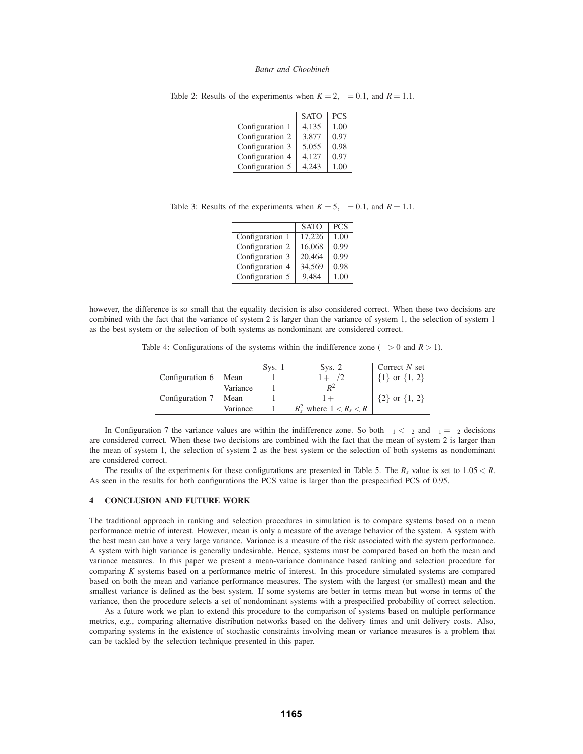|                 | <b>SATO</b> | <b>PCS</b> |
|-----------------|-------------|------------|
| Configuration 1 | 4.135       | 1.00       |
| Configuration 2 | 3,877       | 0.97       |
| Configuration 3 | 5,055       | 0.98       |
| Configuration 4 | 4,127       | 0.97       |
| Configuration 5 | 4,243       | 1.00       |

Table 2: Results of the experiments when  $K = 2, \delta = 0.1$ , and  $R = 1.1$ .

Table 3: Results of the experiments when  $K = 5, \delta = 0.1$ , and  $R = 1.1$ .

|                 | <b>SATO</b> | <b>PCS</b> |
|-----------------|-------------|------------|
| Configuration 1 | 17.226      | 1.00       |
| Configuration 2 | 16,068      | 0.99       |
| Configuration 3 | 20,464      | 0.99       |
| Configuration 4 | 34,569      | 0.98       |
| Configuration 5 | 9.484       | 1.00       |

however, the difference is so small that the equality decision is also considered correct. When these two decisions are combined with the fact that the variance of system 2 is larger than the variance of system 1, the selection of system 1 as the best system or the selection of both systems as nondominant are considered correct.

Table 4: Configurations of the systems within the indifference zone ( $\delta > 0$  and  $R > 1$ ).

|                      |          | Sys.1 | Sys. 2                      | Correct $N$ set       |
|----------------------|----------|-------|-----------------------------|-----------------------|
| Configuration 6 Mean |          |       | $1+\delta/2$                | $\{1\}$ or $\{1, 2\}$ |
|                      | Variance |       | $R^2$                       |                       |
| Configuration 7      | Mean     |       | $1+\delta$                  | ${2}$ or ${1, 2}$     |
|                      | Variance |       | $R_s^2$ where $1 < R_s < R$ |                       |

In Configuration 7 the variance values are within the indifference zone. So both  $\sigma_1 < \sigma_2$  and  $\sigma_1 = \sigma_2$  decisions are considered correct. When these two decisions are combined with the fact that the mean of system 2 is larger than the mean of system 1, the selection of system 2 as the best system or the selection of both systems as nondominant are considered correct.

The results of the experiments for these configurations are presented in Table 5. The  $R_s$  value is set to  $1.05 < R$ . As seen in the results for both configurations the PCS value is larger than the prespecified PCS of 0.95.

## **4 CONCLUSION AND FUTURE WORK**

The traditional approach in ranking and selection procedures in simulation is to compare systems based on a mean performance metric of interest. However, mean is only a measure of the average behavior of the system. A system with the best mean can have a very large variance. Variance is a measure of the risk associated with the system performance. A system with high variance is generally undesirable. Hence, systems must be compared based on both the mean and variance measures. In this paper we present a mean-variance dominance based ranking and selection procedure for comparing *K* systems based on a performance metric of interest. In this procedure simulated systems are compared based on both the mean and variance performance measures. The system with the largest (or smallest) mean and the smallest variance is defined as the best system. If some systems are better in terms mean but worse in terms of the variance, then the procedure selects a set of nondominant systems with a prespecified probability of correct selection.

As a future work we plan to extend this procedure to the comparison of systems based on multiple performance metrics, e.g., comparing alternative distribution networks based on the delivery times and unit delivery costs. Also, comparing systems in the existence of stochastic constraints involving mean or variance measures is a problem that can be tackled by the selection technique presented in this paper.